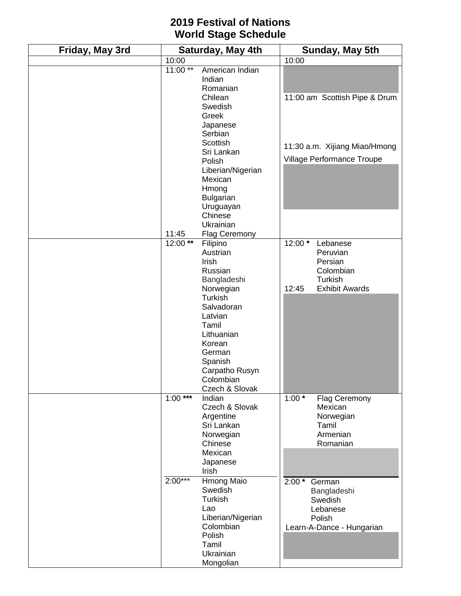## **2019 Festival of Nations World Stage Schedule**

| Friday, May 3rd | Saturday, May 4th      |                                                                                                                                                                                                                                          | Sunday, May 5th     |                                                                                         |
|-----------------|------------------------|------------------------------------------------------------------------------------------------------------------------------------------------------------------------------------------------------------------------------------------|---------------------|-----------------------------------------------------------------------------------------|
|                 | 10:00                  |                                                                                                                                                                                                                                          | 10:00               |                                                                                         |
|                 | $11:00**$              | American Indian<br>Indian<br>Romanian<br>Chilean<br>Swedish<br>Greek<br>Japanese                                                                                                                                                         |                     | 11:00 am Scottish Pipe & Drum                                                           |
|                 |                        | Serbian<br>Scottish<br>Sri Lankan<br>Polish<br>Liberian/Nigerian<br>Mexican<br>Hmong<br><b>Bulgarian</b><br>Uruguayan                                                                                                                    |                     | 11:30 a.m. Xijiang Miao/Hmong<br>Village Performance Troupe                             |
|                 |                        | Chinese<br>Ukrainian                                                                                                                                                                                                                     |                     |                                                                                         |
|                 | 11:45<br>12:00**       | <b>Flag Ceremony</b><br>Filipino<br>Austrian<br>Irish<br>Russian<br>Bangladeshi<br>Norwegian<br>Turkish<br>Salvadoran<br>Latvian<br>Tamil<br>Lithuanian<br>Korean<br>German<br>Spanish<br>Carpatho Rusyn<br>Colombian_<br>Czech & Slovak | 12:00 *<br>12:45    | Lebanese<br>Peruvian<br>Persian<br>Colombian<br><b>Turkish</b><br><b>Exhibit Awards</b> |
|                 | $1:00***$<br>$2:00***$ | Indian<br>Czech & Slovak<br>Argentine<br>Sri Lankan<br>Norwegian<br>Chinese<br>Mexican<br>Japanese<br>Irish<br>Hmong Maio                                                                                                                | $1:00^*$<br>$2:00*$ | Flag Ceremony<br>Mexican<br>Norwegian<br>Tamil<br>Armenian<br>Romanian<br>German        |
|                 |                        | Swedish<br>Turkish<br>Lao<br>Liberian/Nigerian<br>Colombian<br>Polish<br>Tamil<br>Ukrainian<br>Mongolian                                                                                                                                 |                     | Bangladeshi<br>Swedish<br>Lebanese<br>Polish<br>Learn-A-Dance - Hungarian               |